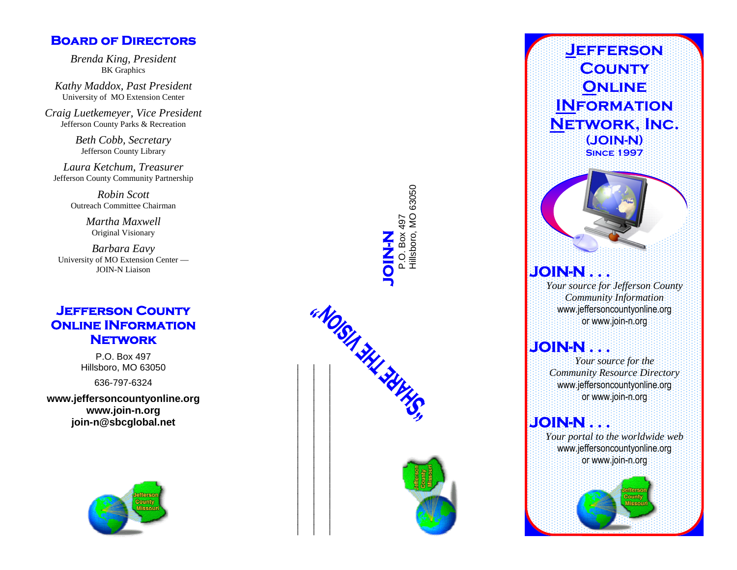#### **Board of Directors**

*Brenda King, President* BK Graphics

*Kathy Maddox, Past President* University of MO Extension Center

*Craig Luetkemeyer, Vice President* Jefferson County Parks & Recreation

> *Beth Cobb, Secretary* Jefferson County Library

*Laura Ketchum, Treasurer* Jefferson County Community Partnership

> *Robin Scott* Outreach Committee Chairman

> > *Martha Maxwell* Original Visionary

*Barbara Eavy* University of MO Extension Center — JOIN-N Liaison

#### **Jefferson County Online INformation Network**

P.O. Box 497 Hillsboro, MO 63050

636-797-6324

**www.jeffersoncountyonline.org** www.join-n.org<br>join-n@sbcglobal.net



**JOIN-N**<br>P.O. Box 497<br>Hillsboro, MO 63050 Box 497 Hillsboro, MO 63050



## **Jefferson County Online INformation Network, Inc. (JOIN-N) Since 1997**

### **JOIN-N . . .**

*Your source for Jefferson County Community Information* www.jeffersoncountyonline.org or www.join-n.org

#### **JOIN-N . . .**

*Your source for the Community Resource Directory* www.jeffersoncountyonline.org or www.join-n.org

### **JOIN-N . . .**

*Your portal to the worldwide web* www.jeffersoncountyonline.org or www.join-n.org